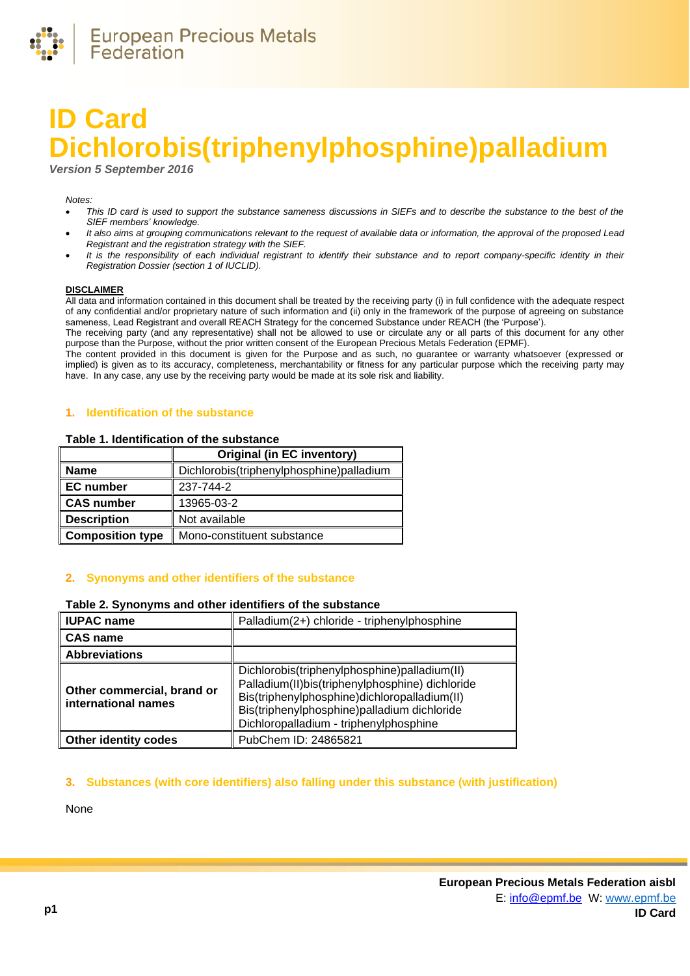

# **ID Card Dichlorobis(triphenylphosphine)palladium**

*Version 5 September 2016*

#### *Notes:*

- *This ID card is used to support the substance sameness discussions in SIEFs and to describe the substance to the best of the SIEF members' knowledge.*
- *It also aims at grouping communications relevant to the request of available data or information, the approval of the proposed Lead Registrant and the registration strategy with the SIEF.*
- *It is the responsibility of each individual registrant to identify their substance and to report company-specific identity in their Registration Dossier (section 1 of IUCLID).*

#### **DISCLAIMER**

All data and information contained in this document shall be treated by the receiving party (i) in full confidence with the adequate respect of any confidential and/or proprietary nature of such information and (ii) only in the framework of the purpose of agreeing on substance sameness, Lead Registrant and overall REACH Strategy for the concerned Substance under REACH (the 'Purpose').

The receiving party (and any representative) shall not be allowed to use or circulate any or all parts of this document for any other purpose than the Purpose, without the prior written consent of the European Precious Metals Federation (EPMF).

The content provided in this document is given for the Purpose and as such, no guarantee or warranty whatsoever (expressed or implied) is given as to its accuracy, completeness, merchantability or fitness for any particular purpose which the receiving party may have. In any case, any use by the receiving party would be made at its sole risk and liability.

# **1. Identification of the substance**

### **Table 1. Identification of the substance**

|                         | Original (in EC inventory)               |
|-------------------------|------------------------------------------|
| <b>Name</b>             | Dichlorobis(triphenylphosphine)palladium |
| <b>EC</b> number        | 237-744-2                                |
| <b>CAS number</b>       | 13965-03-2                               |
| <b>Description</b>      | Not available                            |
| <b>Composition type</b> | Mono-constituent substance               |

# **2. Synonyms and other identifiers of the substance**

# **Table 2. Synonyms and other identifiers of the substance**

| <b>IUPAC name</b>                                 | Palladium(2+) chloride - triphenylphosphine                                                                                                                                                                                              |
|---------------------------------------------------|------------------------------------------------------------------------------------------------------------------------------------------------------------------------------------------------------------------------------------------|
| <b>CAS name</b>                                   |                                                                                                                                                                                                                                          |
| <b>Abbreviations</b>                              |                                                                                                                                                                                                                                          |
| Other commercial, brand or<br>international names | Dichlorobis(triphenylphosphine)palladium(II)<br>Palladium(II)bis(triphenylphosphine) dichloride<br>Bis(triphenylphosphine)dichloropalladium(II)<br>Bis(triphenylphosphine)palladium dichloride<br>Dichloropalladium - triphenylphosphine |
| <b>Other identity codes</b>                       | PubChem ID: 24865821                                                                                                                                                                                                                     |

#### **3. Substances (with core identifiers) also falling under this substance (with justification)**

None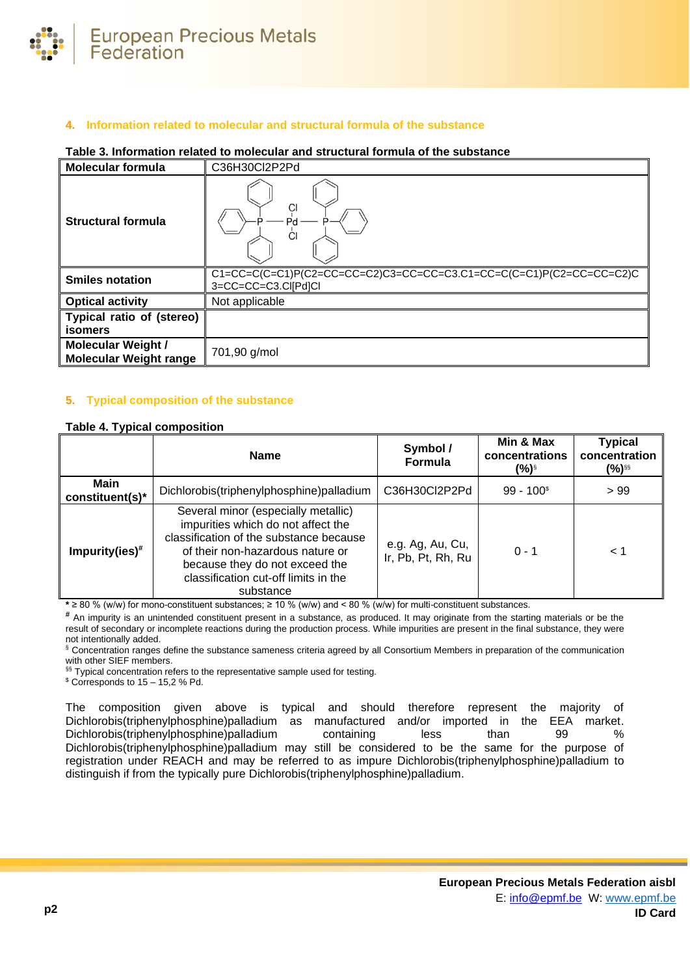

# **4. Information related to molecular and structural formula of the substance**

### **Table 3. Information related to molecular and structural formula of the substance**

| <b>Molecular formula</b>                                   | C36H30Cl2P2Pd                                                                                                              |
|------------------------------------------------------------|----------------------------------------------------------------------------------------------------------------------------|
| <b>Structural formula</b>                                  | <b>CI</b><br>CI                                                                                                            |
| <b>Smiles notation</b>                                     | $C1 = CC = C(C = C1)P(C2 = CC = CC = C2)C3 = CC = CC = C3.C1 = CC = C(C = C1)P(C2 = CC = CC = C2)C$<br>3=CC=CC=C3.Cl[Pd]Cl |
| <b>Optical activity</b>                                    | Not applicable                                                                                                             |
| Typical ratio of (stereo)<br>isomers                       |                                                                                                                            |
| <b>Molecular Weight /</b><br><b>Molecular Weight range</b> | 701,90 g/mol                                                                                                               |

# **5. Typical composition of the substance**

# <span id="page-1-0"></span>**Table 4. Typical composition**

|                         | <b>Name</b>                                                                                                                                                                                                                                     | Symbol /<br><b>Formula</b>             | Min & Max<br>concentrations<br>(%)§ | <b>Typical</b><br>concentration<br>(%)§§ |
|-------------------------|-------------------------------------------------------------------------------------------------------------------------------------------------------------------------------------------------------------------------------------------------|----------------------------------------|-------------------------------------|------------------------------------------|
| Main<br>constituent(s)* | Dichlorobis(triphenylphosphine)palladium                                                                                                                                                                                                        | C36H30Cl2P2Pd                          | $99 - 1003$                         | >99                                      |
| $Impurity(ies)$ #       | Several minor (especially metallic)<br>impurities which do not affect the<br>classification of the substance because<br>of their non-hazardous nature or<br>because they do not exceed the<br>classification cut-off limits in the<br>substance | e.g. Ag, Au, Cu,<br>Ir, Pb, Pt, Rh, Ru | $0 - 1$                             | ⊂ 1                                      |

**\*** ≥ 80 % (w/w) for mono-constituent substances; ≥ 10 % (w/w) and < 80 % (w/w) for multi-constituent substances.

**#** An impurity is an unintended constituent present in a substance, as produced. It may originate from the starting materials or be the result of secondary or incomplete reactions during the production process. While impurities are present in the final substance, they were not intentionally added.

§ Concentration ranges define the substance sameness criteria agreed by all Consortium Members in preparation of the communication with other SIEF members.

§§ Typical concentration refers to the representative sample used for testing.

 $$$  Corresponds to 15 – 15,2 % Pd.

The composition given above is typical and should therefore represent the majority of Dichlorobis(triphenylphosphine)palladium as manufactured and/or imported in the EEA market. Dichlorobis(triphenylphosphine)palladium containing less than 99 % Dichlorobis(triphenylphosphine)palladium may still be considered to be the same for the purpose of registration under REACH and may be referred to as impure Dichlorobis(triphenylphosphine)palladium to distinguish if from the typically pure Dichlorobis(triphenylphosphine)palladium.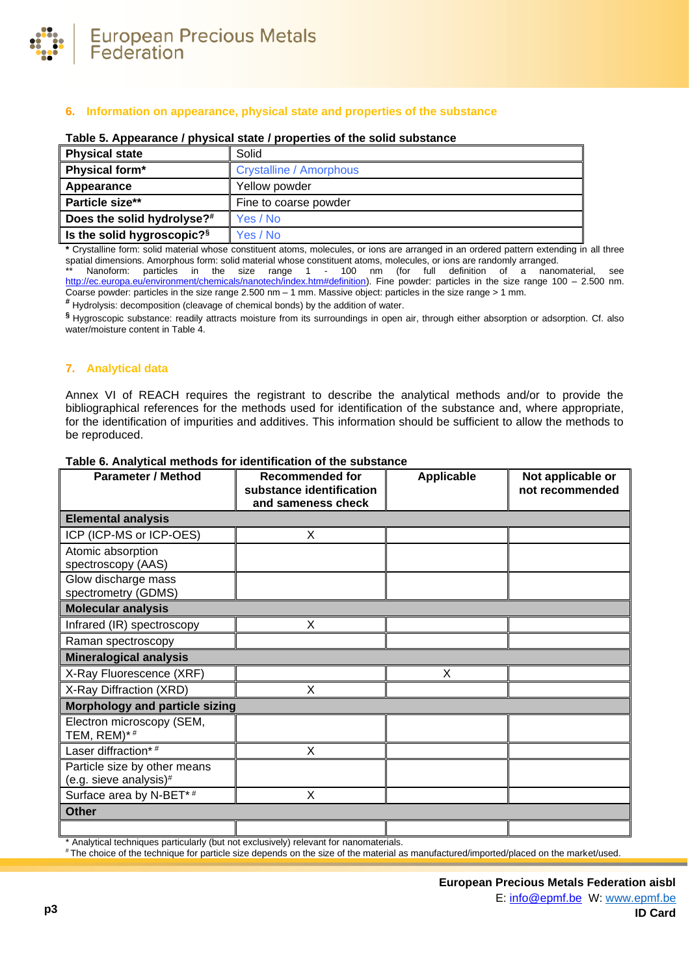

# **6. Information on appearance, physical state and properties of the substance**

| <b>Physical state</b>                  | Solid                          |
|----------------------------------------|--------------------------------|
| Physical form*                         | <b>Crystalline / Amorphous</b> |
| Appearance                             | Yellow powder                  |
| Particle size**                        | Fine to coarse powder          |
| Does the solid hydrolyse?#             | Yes / No                       |
| Is the solid hygroscopic? <sup>§</sup> | Yes / No                       |

# **Table 5. Appearance / physical state / properties of the solid substance**

**\*** Crystalline form: solid material whose constituent atoms, molecules, or ions are arranged in an ordered pattern extending in all three spatial dimensions. Amorphous form: solid material whose constituent atoms, molecules, or ions are randomly arranged.

Nanoform: particles in the size range 1 - 100 nm (for full definition of a nanomaterial, see [http://ec.europa.eu/environment/chemicals/nanotech/index.htm#definition\)](http://ec.europa.eu/environment/chemicals/nanotech/index.htm#definition). Fine powder: particles in the size range 100 – 2.500 nm. Coarse powder: particles in the size range 2.500 nm – 1 mm. Massive object: particles in the size range > 1 mm.

**#** Hydrolysis: decomposition (cleavage of chemical bonds) by the addition of water.

**§** Hygroscopic substance: readily attracts moisture from its surroundings in open air, through either absorption or adsorption. Cf. also water/moisture content i[n Table 4.](#page-1-0)

# **7. Analytical data**

Annex VI of REACH requires the registrant to describe the analytical methods and/or to provide the bibliographical references for the methods used for identification of the substance and, where appropriate, for the identification of impurities and additives. This information should be sufficient to allow the methods to be reproduced.

| <b>Parameter / Method</b>                | <b>Recommended for</b><br>substance identification | <b>Applicable</b> | Not applicable or<br>not recommended |
|------------------------------------------|----------------------------------------------------|-------------------|--------------------------------------|
|                                          | and sameness check                                 |                   |                                      |
| <b>Elemental analysis</b>                |                                                    |                   |                                      |
| ICP (ICP-MS or ICP-OES)                  | X                                                  |                   |                                      |
| Atomic absorption                        |                                                    |                   |                                      |
| spectroscopy (AAS)                       |                                                    |                   |                                      |
| Glow discharge mass                      |                                                    |                   |                                      |
| spectrometry (GDMS)                      |                                                    |                   |                                      |
| <b>Molecular analysis</b>                |                                                    |                   |                                      |
| Infrared (IR) spectroscopy               | X                                                  |                   |                                      |
| Raman spectroscopy                       |                                                    |                   |                                      |
| <b>Mineralogical analysis</b>            |                                                    |                   |                                      |
| X-Ray Fluorescence (XRF)                 |                                                    | X                 |                                      |
| X-Ray Diffraction (XRD)                  | X                                                  |                   |                                      |
| <b>Morphology and particle sizing</b>    |                                                    |                   |                                      |
| Electron microscopy (SEM,<br>TEM, REM)*# |                                                    |                   |                                      |
| Laser diffraction*#                      | X                                                  |                   |                                      |
| Particle size by other means             |                                                    |                   |                                      |
| (e.g. sieve analysis)#                   |                                                    |                   |                                      |
| Surface area by N-BET*#                  | X                                                  |                   |                                      |
| <b>Other</b>                             |                                                    |                   |                                      |
|                                          |                                                    |                   |                                      |

#### **Table 6. Analytical methods for identification of the substance**

\* Analytical techniques particularly (but not exclusively) relevant for nanomaterials.

# The choice of the technique for particle size depends on the size of the material as manufactured/imported/placed on the market/used.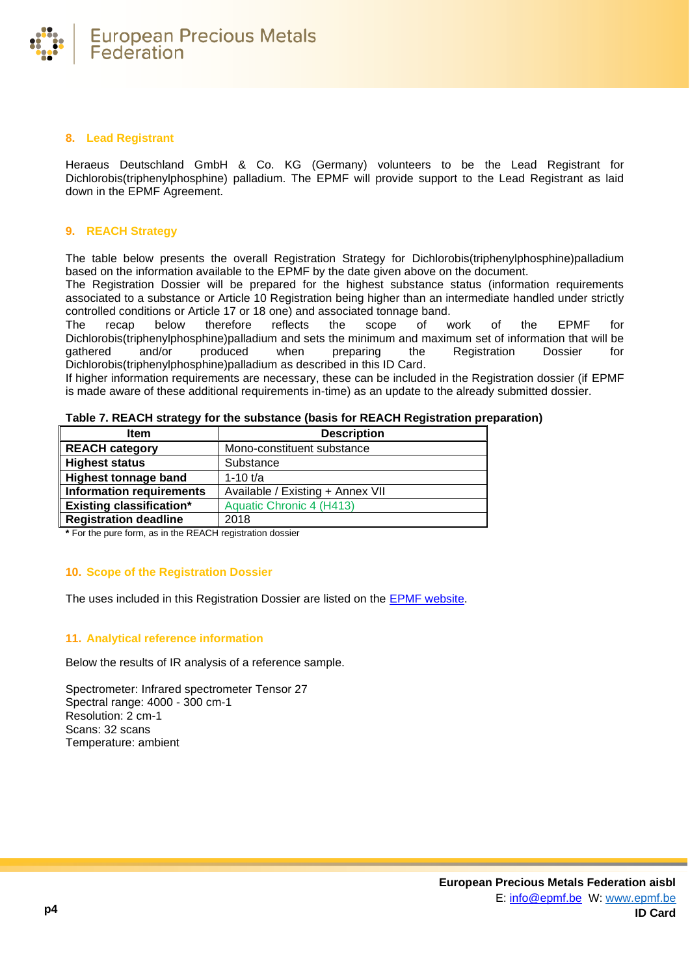

# **8. Lead Registrant**

Heraeus Deutschland GmbH & Co. KG (Germany) volunteers to be the Lead Registrant for Dichlorobis(triphenylphosphine) palladium. The EPMF will provide support to the Lead Registrant as laid down in the EPMF Agreement.

# **9. REACH Strategy**

The table below presents the overall Registration Strategy for Dichlorobis(triphenylphosphine)palladium based on the information available to the EPMF by the date given above on the document.

The Registration Dossier will be prepared for the highest substance status (information requirements associated to a substance or Article 10 Registration being higher than an intermediate handled under strictly controlled conditions or Article 17 or 18 one) and associated tonnage band.

The recap below therefore reflects the scope of work of the EPMF for Dichlorobis(triphenylphosphine)palladium and sets the minimum and maximum set of information that will be qathered and/or produced when preparing the Registration Dossier for gathered and/or produced when preparing the Registration Dossier for Dichlorobis(triphenylphosphine)palladium as described in this ID Card.

If higher information requirements are necessary, these can be included in the Registration dossier (if EPMF is made aware of these additional requirements in-time) as an update to the already submitted dossier.

| <b>Item</b>                     | <b>Description</b>               |
|---------------------------------|----------------------------------|
| <b>REACH category</b>           | Mono-constituent substance       |
| <b>Highest status</b>           | Substance                        |
| <b>Highest tonnage band</b>     | 1-10 $t/a$                       |
| <b>Information requirements</b> | Available / Existing + Annex VII |
| <b>Existing classification*</b> | Aquatic Chronic 4 (H413)         |
| <b>Registration deadline</b>    | 2018                             |

**Table 7. REACH strategy for the substance (basis for REACH Registration preparation)**

**\*** For the pure form, as in the REACH registration dossier

# **10. Scope of the Registration Dossier**

The uses included in this Registration Dossier are listed on the [EPMF website.](https://www.epmf.be/)

# **11. Analytical reference information**

Below the results of IR analysis of a reference sample.

Spectrometer: Infrared spectrometer Tensor 27 Spectral range: 4000 - 300 cm-1 Resolution: 2 cm-1 Scans: 32 scans Temperature: ambient